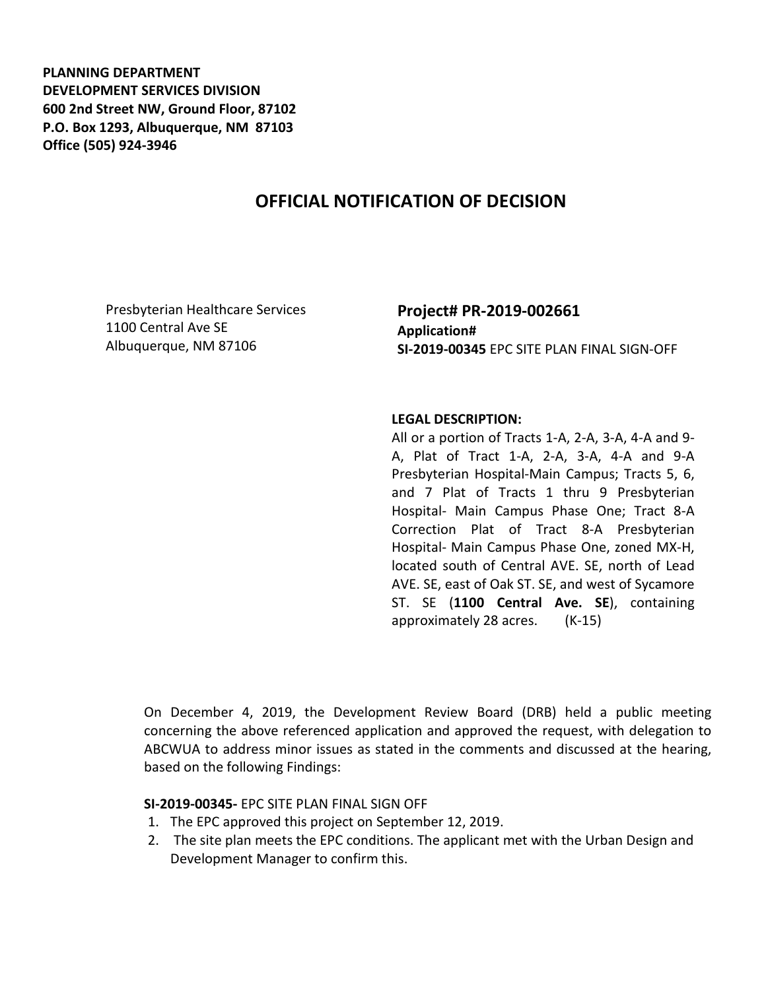**PLANNING DEPARTMENT DEVELOPMENT SERVICES DIVISION 600 2nd Street NW, Ground Floor, 87102 P.O. Box 1293, Albuquerque, NM 87103 Office (505) 924-3946** 

# **OFFICIAL NOTIFICATION OF DECISION**

Presbyterian Healthcare Services 1100 Central Ave SE Albuquerque, NM 87106

## **Project# PR-2019-002661 Application# SI-2019-00345** EPC SITE PLAN FINAL SIGN-OFF

#### **LEGAL DESCRIPTION:**

All or a portion of Tracts 1-A, 2-A, 3-A, 4-A and 9- A, Plat of Tract 1-A, 2-A, 3-A, 4-A and 9-A Presbyterian Hospital-Main Campus; Tracts 5, 6, and 7 Plat of Tracts 1 thru 9 Presbyterian Hospital- Main Campus Phase One; Tract 8-A Correction Plat of Tract 8-A Presbyterian Hospital- Main Campus Phase One, zoned MX-H, located south of Central AVE. SE, north of Lead AVE. SE, east of Oak ST. SE, and west of Sycamore ST. SE (**1100 Central Ave. SE**), containing approximately 28 acres. (K-15)

On December 4, 2019, the Development Review Board (DRB) held a public meeting concerning the above referenced application and approved the request, with delegation to ABCWUA to address minor issues as stated in the comments and discussed at the hearing, based on the following Findings:

### **SI-2019-00345-** EPC SITE PLAN FINAL SIGN OFF

- 1. The EPC approved this project on September 12, 2019.
- 2. The site plan meets the EPC conditions. The applicant met with the Urban Design and Development Manager to confirm this.